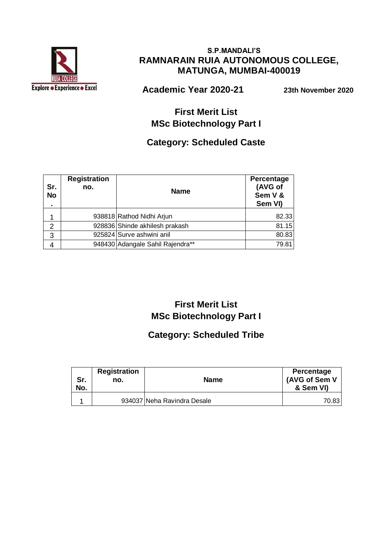

#### **S.P.MANDALI'S RAMNARAIN RUIA AUTONOMOUS COLLEGE, MATUNGA, MUMBAI-400019**

 **Academic Year 2020-21 23th November 2020**

# **First Merit List MSc Biotechnology Part I**

### **Category: Scheduled Caste**

| Sr.<br><b>No</b><br>$\blacksquare$ | <b>Registration</b><br>no. | <b>Name</b>                      | Percentage<br>(AVG of<br>Sem V &<br>Sem VI) |
|------------------------------------|----------------------------|----------------------------------|---------------------------------------------|
|                                    |                            | 938818 Rathod Nidhi Arjun        | 82.33                                       |
| 2                                  |                            | 928836 Shinde akhilesh prakash   | 81.15                                       |
| 3                                  |                            | 925824 Surve ashwini anil        | 80.83                                       |
|                                    |                            | 948430 Adangale Sahil Rajendra** | 79.81                                       |

# **First Merit List MSc Biotechnology Part I**

# **Category: Scheduled Tribe**

| Sr.<br>No. | <b>Registration</b><br>no. | <b>Name</b>                 | Percentage<br>(AVG of Sem V<br>& Sem VI) |
|------------|----------------------------|-----------------------------|------------------------------------------|
|            |                            | 934037 Neha Ravindra Desale | 70.831                                   |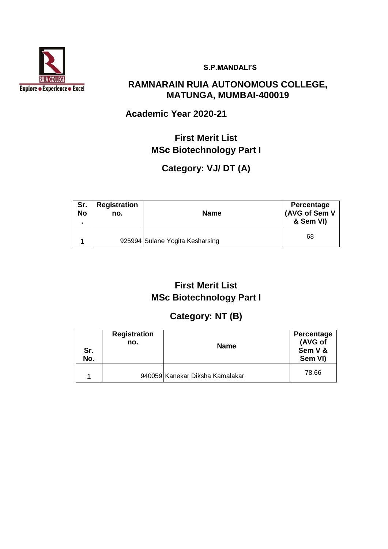

**S.P.MANDALI'S**

### **RAMNARAIN RUIA AUTONOMOUS COLLEGE, MATUNGA, MUMBAI-400019**

### **Academic Year 2020-21**

# **First Merit List MSc Biotechnology Part I**

# **Category: VJ/ DT (A)**

| Sr.<br><b>No</b><br>$\blacksquare$ | <b>Registration</b><br>no. | <b>Name</b>                     | Percentage<br>(AVG of Sem V<br>& Sem VI) |
|------------------------------------|----------------------------|---------------------------------|------------------------------------------|
|                                    |                            | 925994 Sulane Yogita Kesharsing | 68                                       |

# **First Merit List MSc Biotechnology Part I**

# **Category: NT (B)**

| Sr.<br>No. | <b>Registration</b><br>no. | <b>Name</b>                     | Percentage<br>(AVG of<br>Sem V &<br>Sem VI) |
|------------|----------------------------|---------------------------------|---------------------------------------------|
|            |                            | 940059 Kanekar Diksha Kamalakar | 78.66                                       |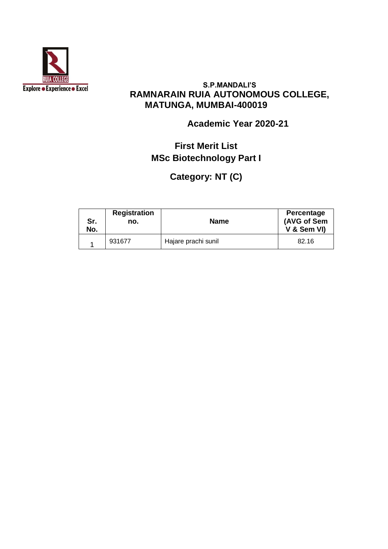

#### **S.P.MANDALI'S RAMNARAIN RUIA AUTONOMOUS COLLEGE, MATUNGA, MUMBAI-400019**

### **Academic Year 2020-21**

# **First Merit List MSc Biotechnology Part I**

**Category: NT (C)** 

| Sr.<br>No. | <b>Registration</b><br>no. | <b>Name</b>         | Percentage<br>(AVG of Sem<br>V & Sem VI) |
|------------|----------------------------|---------------------|------------------------------------------|
|            | 931677                     | Hajare prachi sunil | 82.16                                    |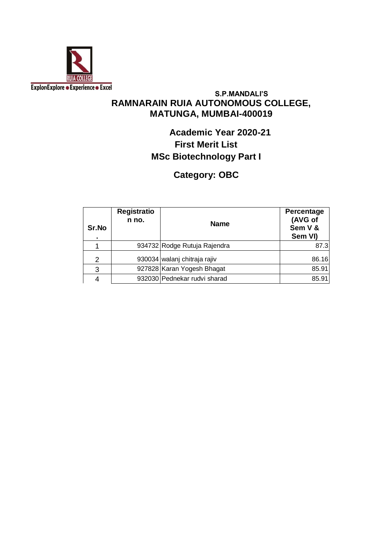

#### **S.P.MANDALI'S RAMNARAIN RUIA AUTONOMOUS COLLEGE, MATUNGA, MUMBAI-400019**

# **Academic Year 2020-21 First Merit List MSc Biotechnology Part I**

## **Category: OBC**

| Sr.No<br>$\blacksquare$ | <b>Registratio</b><br>n no. | <b>Name</b>                  | Percentage<br>(AVG of<br>Sem V &<br>Sem VI) |
|-------------------------|-----------------------------|------------------------------|---------------------------------------------|
|                         |                             | 934732 Rodge Rutuja Rajendra | 87.3                                        |
| $\overline{2}$          |                             | 930034 walanj chitraja rajiv | 86.16                                       |
| 3                       |                             | 927828 Karan Yogesh Bhagat   | 85.91                                       |
|                         |                             | 932030 Pednekar rudvi sharad | 85.91                                       |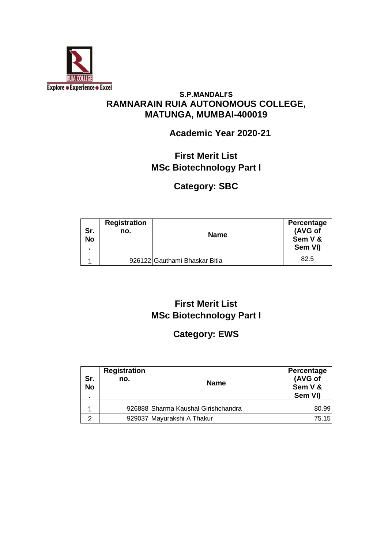

#### **S.P.MANDALI'S RAMNARAIN RUIA AUTONOMOUS COLLEGE, MATUNGA, MUMBAI-400019**

### **Academic Year 2020-21**

# **First Merit List MSc Biotechnology Part I**

# **Category: SBC**

| Sr.<br><b>No</b> | <b>Registration</b><br>no. | <b>Name</b>                   | <b>Percentage</b><br>(AVG of<br>Sem V &<br>Sem VI) |
|------------------|----------------------------|-------------------------------|----------------------------------------------------|
|                  |                            | 926122 Gauthami Bhaskar Bitla | 82.5                                               |

# **First Merit List MSc Biotechnology Part I**

### **Category: EWS**

| Sr.<br><b>No</b> | <b>Registration</b><br>no. | <b>Name</b>                         | Percentage<br>(AVG of<br>Sem V &<br>Sem VI) |
|------------------|----------------------------|-------------------------------------|---------------------------------------------|
|                  |                            | 926888 Sharma Kaushal Girishchandra | 80.99                                       |
|                  |                            | 929037 Mayurakshi A Thakur          | 75.15                                       |